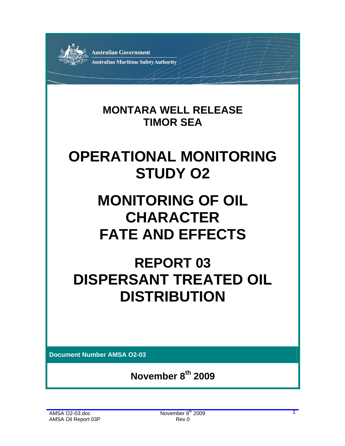

### **MONTARA WELL RELEASE TIMOR SEA**

## **OPERATIONAL MONITORING STUDY O2**

# **MONITORING OF OIL CHARACTER FATE AND EFFECTS**

### **REPORT 03 DISPERSANT TREATED OIL DISTRIBUTION**

**Document Number AMSA O2-03** 

**November 8th 2009**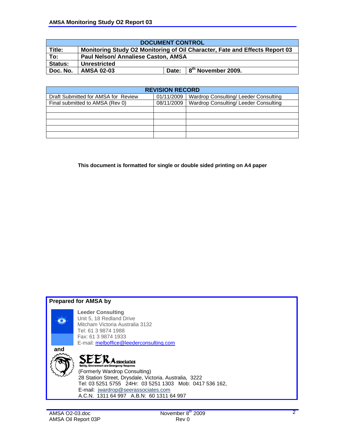| <b>DOCUMENT CONTROL</b> |                                                                             |       |                                              |  |  |  |  |
|-------------------------|-----------------------------------------------------------------------------|-------|----------------------------------------------|--|--|--|--|
| Title:                  | Monitoring Study O2 Monitoring of Oil Character, Fate and Effects Report 03 |       |                                              |  |  |  |  |
| To:                     | Paul Nelson/ Annaliese Caston, AMSA                                         |       |                                              |  |  |  |  |
| <b>Status:</b>          | Unrestricted                                                                |       |                                              |  |  |  |  |
| Doc. No.                | <b>AMSA 02-03</b>                                                           | Date: | $\frac{1}{2}$ 8 <sup>th</sup> November 2009. |  |  |  |  |

| <b>REVISION RECORD</b>              |            |                                       |  |  |  |  |  |  |
|-------------------------------------|------------|---------------------------------------|--|--|--|--|--|--|
| Draft Submitted for AMSA for Review | 01/11/2009 | Wardrop Consulting/ Leeder Consulting |  |  |  |  |  |  |
| Final submitted to AMSA (Rev 0)     | 08/11/2009 | Wardrop Consulting/Leeder Consulting  |  |  |  |  |  |  |
|                                     |            |                                       |  |  |  |  |  |  |
|                                     |            |                                       |  |  |  |  |  |  |
|                                     |            |                                       |  |  |  |  |  |  |
|                                     |            |                                       |  |  |  |  |  |  |
|                                     |            |                                       |  |  |  |  |  |  |

**This document is formatted for single or double sided printing on A4 paper** 





**Leeder Consulting**  Unit 5, 18 Redland Drive Mitcham Victoria Australia 3132 Tel: 61 3 9874 1988 Fax: 61 3 9874 1933 E-mail: melboffice@leederconsulting.com

 **and** 

SEER Associates<br>
Safety, Environment and Emergency Response<br>
(Formerly Wardrop Consulting)  $\sum_{\text{Sateiv.}}$ 28 Station Street, Drysdale, Victoria. Australia, 3222 Tel: 03 5251 5755 24Hr: 03 5251 1303 Mob: 0417 536 162, E-mail: jwardrop@seerassociates.com A.C.N. 1311 64 997 A.B.N: 60 1311 64 997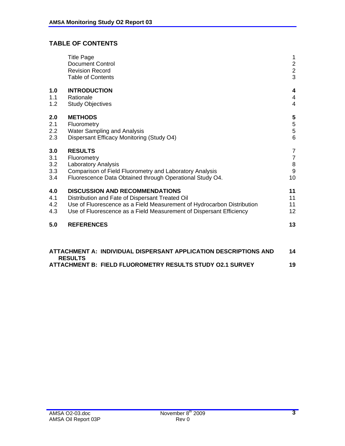### **TABLE OF CONTENTS**

| 1.0<br>1.1 | <b>INTRODUCTION</b><br>Rationale                                                                                    | $\overline{\mathbf{4}}$<br>$\overline{4}$ |
|------------|---------------------------------------------------------------------------------------------------------------------|-------------------------------------------|
| 1.2        | <b>Study Objectives</b>                                                                                             | $\overline{4}$                            |
| 2.0        | <b>METHODS</b>                                                                                                      | 5                                         |
| 2.1<br>2.2 | Fluorometry<br><b>Water Sampling and Analysis</b>                                                                   | $\frac{5}{5}$                             |
| 2.3        | Dispersant Efficacy Monitoring (Study O4)                                                                           | $6\phantom{1}6$                           |
| 3.0        | <b>RESULTS</b>                                                                                                      | 7                                         |
| 3.1        | Fluorometry                                                                                                         | 7                                         |
| 3.2        | <b>Laboratory Analysis</b>                                                                                          | $\,8\,$                                   |
| 3.3<br>3.4 | Comparison of Field Fluorometry and Laboratory Analysis<br>Fluorescence Data Obtained through Operational Study O4. | $\overline{9}$<br>10                      |
| 4.0        | <b>DISCUSSION AND RECOMMENDATIONS</b>                                                                               | 11                                        |
| 4.1        | Distribution and Fate of Dispersant Treated Oil                                                                     | 11                                        |
| 4.2        | Use of Fluorescence as a Field Measurement of Hydrocarbon Distribution                                              | 11                                        |
| 4.3        | Use of Fluorescence as a Field Measurement of Dispersant Efficiency                                                 | 12                                        |
| 5.0        | <b>REFERENCES</b>                                                                                                   | 13                                        |

| ATTACHMENT A: INDIVIDUAL DISPERSANT APPLICATION DESCRIPTIONS AND | 14 |
|------------------------------------------------------------------|----|
| <b>RESULTS</b>                                                   |    |
| ATTACHMENT B: FIELD FLUOROMETRY RESULTS STUDY 02.1 SURVEY        | 19 |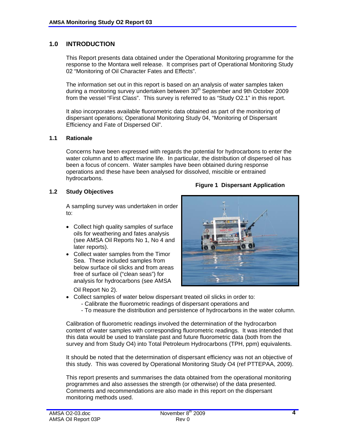#### **1.0 INTRODUCTION**

 This Report presents data obtained under the Operational Monitoring programme for the response to the Montara well release. It comprises part of Operational Monitoring Study 02 "Monitoring of Oil Character Fates and Effects".

 The information set out in this report is based on an analysis of water samples taken during a monitoring survey undertaken between 30<sup>th</sup> September and 9th October 2009 from the vessel "First Class". This survey is referred to as "Study O2.1" in this report.

 It also incorporates available fluorometric data obtained as part of the monitoring of dispersant operations; Operational Monitoring Study 04, "Monitoring of Dispersant Efficiency and Fate of Dispersed Oil".

#### **1.1 Rationale**

 Concerns have been expressed with regards the potential for hydrocarbons to enter the water column and to affect marine life. In particular, the distribution of dispersed oil has been a focus of concern. Water samples have been obtained during response operations and these have been analysed for dissolved, miscible or entrained hydrocarbons.

#### **1.2 Study Objectives**

A sampling survey was undertaken in order to:

- Collect high quality samples of surface oils for weathering and fates analysis (see AMSA Oil Reports No 1, No 4 and later reports).
- Collect water samples from the Timor Sea. These included samples from below surface oil slicks and from areas free of surface oil ("clean seas") for analysis for hydrocarbons (see AMSA

Oil Report No 2).



**Figure 1 Dispersant Application**

- Collect samples of water below dispersant treated oil slicks in order to:
	- Calibrate the fluorometric readings of dispersant operations and
	- To measure the distribution and persistence of hydrocarbons in the water column.

 Calibration of fluorometric readings involved the determination of the hydrocarbon content of water samples with corresponding fluorometric readings. It was intended that this data would be used to translate past and future fluorometric data (both from the survey and from Study O4) into Total Petroleum Hydrocarbons (TPH, ppm) equivalents.

 It should be noted that the determination of dispersant efficiency was not an objective of this study. This was covered by Operational Monitoring Study O4 (ref PTTEPAA, 2009).

 This report presents and summarises the data obtained from the operational monitoring programmes and also assesses the strength (or otherwise) of the data presented. Comments and recommendations are also made in this report on the dispersant monitoring methods used.

**4**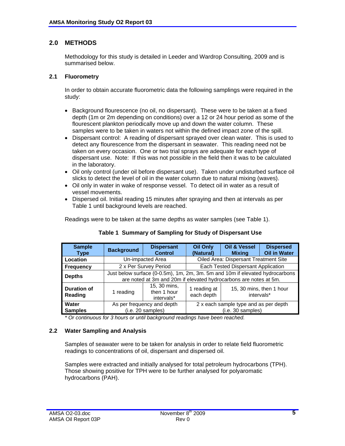#### **2.0 METHODS**

 Methodology for this study is detailed in Leeder and Wardrop Consulting, 2009 and is summarised below.

#### **2.1 Fluorometry**

 In order to obtain accurate fluorometric data the following samplings were required in the study:

- Background flourescence (no oil, no dispersant). These were to be taken at a fixed depth (1m or 2m depending on conditions) over a 12 or 24 hour period as some of the flourescent plankton periodically move up and down the water column. These samples were to be taken in waters not within the defined impact zone of the spill.
- Dispersant control: A reading of dispersant sprayed over clean water. This is used to detect any flourescence from the dispersant in seawater. This reading need not be taken on every occasion. One or two trial sprays are adequate for each type of dispersant use. Note: If this was not possible in the field then it was to be calculated in the laboratory.
- Oil only control (under oil before dispersant use). Taken under undisturbed surface oil slicks to detect the level of oil in the water column due to natural mixing (waves).
- Oil only in water in wake of response vessel. To detect oil in water as a result of vessel movements.
- Dispersed oil. Initial reading 15 minutes after spraying and then at intervals as per Table 1 until background levels are reached.

Readings were to be taken at the same depths as water samples (see Table 1).

| <b>Sample</b><br>Type                | <b>Background</b> | <b>Dispersant</b><br><b>Control</b>                                                                                                               | <b>Oil Only</b><br>(Natural)          | <b>Oil &amp; Vessel</b><br><b>Mixing</b> | <b>Dispersed</b><br><b>Oil in Water</b> |  |  |  |
|--------------------------------------|-------------------|---------------------------------------------------------------------------------------------------------------------------------------------------|---------------------------------------|------------------------------------------|-----------------------------------------|--|--|--|
| Location                             |                   | Un-impacted Area                                                                                                                                  |                                       | Oiled Area: Dispersant Treatment Site    |                                         |  |  |  |
| <b>Frequency</b>                     |                   | 2 x Per Survey Period                                                                                                                             | Each Tested Dispersant Application    |                                          |                                         |  |  |  |
| <b>Depths</b>                        |                   | Just below surface (0-0.5m), 1m, 2m, 3m. 5m and 10m if elevated hydrocarbons<br>are noted at 3m and 20m if elevated hydrocarbons are notes at 5m. |                                       |                                          |                                         |  |  |  |
| <b>Duration of</b><br><b>Reading</b> | 1 reading         | 15, 30 mins,<br>then 1 hour<br>intervals*                                                                                                         | 1 reading at<br>each depth            | 15, 30 mins, then 1 hour<br>intervals*   |                                         |  |  |  |
| Water                                |                   | As per frequency and depth                                                                                                                        | 2 x each sample type and as per depth |                                          |                                         |  |  |  |
| <b>Samples</b>                       |                   | (i.e. 20 samples)                                                                                                                                 | (i.e. 30 samples)                     |                                          |                                         |  |  |  |

#### **Table 1 Summary of Sampling for Study of Dispersant Use**

 *\* Or continuous for 3 hours or until background readings have been reached.* 

#### **2.2 Water Sampling and Analysis**

 Samples of seawater were to be taken for analysis in order to relate field fluorometric readings to concentrations of oil, dispersant and dispersed oil.

 Samples were extracted and initially analysed for total petroleum hydrocarbons (TPH). Those showing positive for TPH were to be further analysed for polyaromatic hydrocarbons (PAH).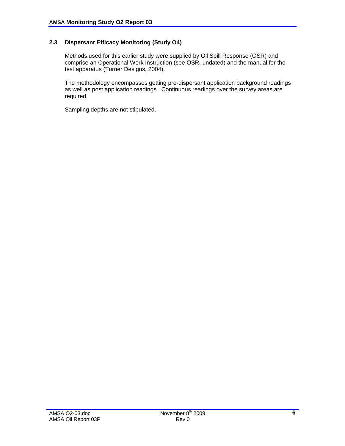#### **2.3 Dispersant Efficacy Monitoring (Study O4)**

 Methods used for this earlier study were supplied by Oil Spill Response (OSR) and comprise an Operational Work Instruction (see OSR, undated) and the manual for the test apparatus (Turner Designs, 2004).

 The methodology encompasses getting pre-dispersant application background readings as well as post application readings. Continuous readings over the survey areas are required.

Sampling depths are not stipulated.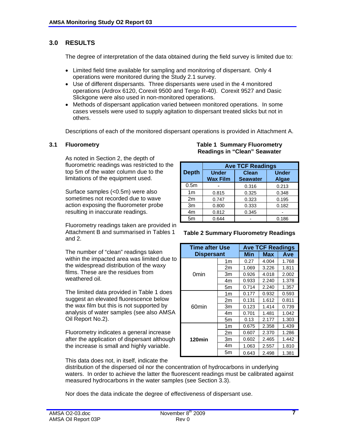#### **3.0 RESULTS**

The degree of interpretation of the data obtained during the field survey is limited due to:

- Limited field time available for sampling and monitoring of dispersant. Only 4 operations were monitored during the Study 2.1 survey.
- Use of different dispersants. Three dispersants were used in the 4 monitored operations (Ardrox 6120, Corexit 9500 and Tergo R-40). Corexit 9527 and Dasic Slickgone were also used in non-monitored operations.
- Methods of dispersant application varied between monitored operations. In some cases vessels were used to supply agitation to dispersant treated slicks but not in others.

Descriptions of each of the monitored dispersant operations is provided in Attachment A.

As noted in Section 2, the depth of fluorometric readings was restricted to the top 5m of the water column due to the limitations of the equipment used.

Surface samples (<0.5m) were also sometimes not recorded due to wave action exposing the fluorometer probe resulting in inaccurate readings.

Fluorometry readings taken are provided in Attachment B and summarised in Tables 1 and 2.

The number of "clean" readings taken within the impacted area was limited due to the widespread distribution of the waxy films. These are the residues from weathered oil.

The limited data provided in Table 1 does suggest an elevated fluorescence below the wax film but this is not supported by analysis of water samples (see also AMSA Oil Report No.2).

Fluorometry indicates a general increase after the application of dispersant although the increase is small and highly variable.

#### **3.1 Fluorometry Table 1 Summary Fluorometry Readings in "Clean" Seawater**

|                  | <b>Ave TCF Readings</b>         |                          |                              |  |  |  |  |  |
|------------------|---------------------------------|--------------------------|------------------------------|--|--|--|--|--|
| <b>Depth</b>     | <b>Under</b><br><b>Wax Film</b> | Clean<br><b>Seawater</b> | <b>Under</b><br><b>Algae</b> |  |  |  |  |  |
| 0.5 <sub>m</sub> |                                 | 0.316                    | 0.213                        |  |  |  |  |  |
| 1 <sub>m</sub>   | 0.815                           | 0.325                    | 0.348                        |  |  |  |  |  |
| 2m               | 0.747                           | 0.323                    | 0.195                        |  |  |  |  |  |
| 3m               | 0.800                           | 0.333                    | 0.182                        |  |  |  |  |  |
| 4m               | 0.812                           | 0.345                    |                              |  |  |  |  |  |
| 5 <sub>m</sub>   | 0.644                           |                          | 0.186                        |  |  |  |  |  |

#### **Table 2 Summary Fluorometry Readings**

| <b>Time after Use</b> |                | <b>Ave TCF Readings</b> |       |       |  |  |  |
|-----------------------|----------------|-------------------------|-------|-------|--|--|--|
| <b>Dispersant</b>     |                | Min                     | Max   | Ave   |  |  |  |
|                       | 1 <sub>m</sub> | 0.27                    | 4.004 | 1.768 |  |  |  |
|                       | 2m             | 1.069                   | 3.226 | 1.811 |  |  |  |
| 0min                  | Зm             | 0.926                   | 4.018 | 2.002 |  |  |  |
|                       | 4m             | 0.933                   | 2.240 | 1.378 |  |  |  |
|                       | 5m             | 0.714                   | 2.240 | 1.357 |  |  |  |
|                       | 1m             | 0.177                   | 0.932 | 0.593 |  |  |  |
|                       | 2m             | 0.131                   | 1.612 | 0.811 |  |  |  |
| 60min                 | 3m             | 0.123                   | 1.414 | 0.739 |  |  |  |
|                       | 4m             | 0.701                   | 1.481 | 1.042 |  |  |  |
|                       | 5m             | 0.13                    | 2.177 | 1.303 |  |  |  |
|                       | 1m             | 0.675                   | 2.358 | 1.439 |  |  |  |
|                       | 2m             | 0.607                   | 2.370 | 1.286 |  |  |  |
| 120min                | Зm             | 0.602                   | 2.465 | 1.442 |  |  |  |
|                       | 4m             | 1.063                   | 2.557 | 1.810 |  |  |  |
|                       | 5m             | 0.643                   | 2.498 | 1.381 |  |  |  |

This data does not, in itself, indicate the

distribution of the dispersed oil nor the concentration of hydrocarbons in underlying waters. In order to achieve the latter the fluorescent readings must be calibrated against measured hydrocarbons in the water samples (see Section 3.3).

Nor does the data indicate the degree of effectiveness of dispersant use.

**7**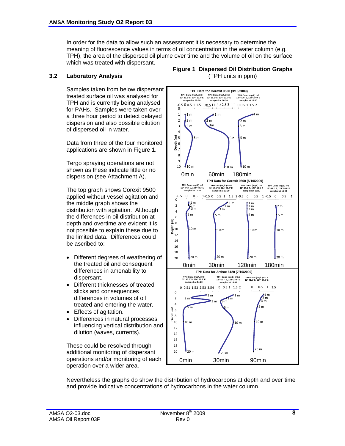In order for the data to allow such an assessment it is necessary to determine the meaning of fluorescence values in terms of oil concentration in the water column (e.g. TPH), the area of the dispersed oil plume over time and the volume of oil on the surface which was treated with dispersant.

#### **3.2 Laboratory Analysis**

Samples taken from below dispersant treated surface oil was analysed for TPH and is currently being analysed for PAHs. Samples were taken over a three hour period to detect delayed dispersion and also possible dilution of dispersed oil in water.

Data from three of the four monitored applications are shown in Figure 1.

Tergo spraying operations are not shown as these indicate little or no dispersion (see Attachment A).

The top graph shows Corexit 9500 applied without vessel agitation and the middle graph shows the distribution with agitation. Although the differences in oil distribution at depth and overtime are evident it is not possible to explain these due to the limited data. Differences could be ascribed to:

- Different degrees of weathering of the treated oil and consequent differences in amenability to dispersant.
- Different thicknesses of treated slicks and consequences differences in volumes of oil treated and entering the water.
- Effects of agitation.
- Differences in natural processes influencing vertical distribution and dilution (waves, currents).

These could be resolved through additional monitoring of dispersant operations and/or monitoring of each operation over a wider area.





Nevertheless the graphs do show the distribution of hydrocarbons at depth and over time and provide indicative concentrations of hydrocarbons in the water column.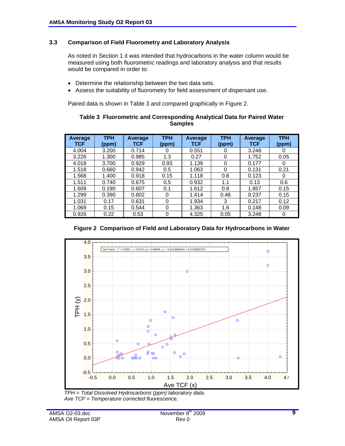#### **3.3 Comparison of Field Fluorometry and Laboratory Analysis**

 As noted in Section 1 it was intended that hydrocarbons in the water column would be measured using both fluorometric readings and laboratory analysis and that results would be compared in order to:

- Determine the relationship between the two data sets.
- Assess the suitability of fluorometry for field assessment of dispersant use.

Paired data is shown in Table 3 and compared graphically in Figure 2.

| Table 3 Fluorometric and Corresponding Analytical Data for Paired Water |  |
|-------------------------------------------------------------------------|--|
| <b>Samples</b>                                                          |  |

| <b>Average</b><br>TCF | <b>TPH</b><br>(ppm) | Average<br><b>TCF</b> | <b>TPH</b><br>(ppm) | Average<br><b>TCF</b> | <b>TPH</b><br>(ppm) | <b>Average</b><br><b>TCF</b> | <b>TPH</b><br>(ppm) |
|-----------------------|---------------------|-----------------------|---------------------|-----------------------|---------------------|------------------------------|---------------------|
| 4.004                 | 3.200               | 0.714                 | 0                   | 0.551                 | 0                   | 3.248                        | 0                   |
| 3.226                 | 1.300               | 0.985                 | 1.3                 | 0.27                  | $\Omega$            | 1.752                        | 0.05                |
| 4.018                 | 3.700               | 0.929                 | 0.93                | 1.139                 | 0                   | 0.177                        | 0                   |
| 1.518                 | 0.660               | 0.942                 | 0.5                 | 1.063                 | 0                   | 0.131                        | 0.21                |
| 1.568                 | 1.400               | 0.918                 | 0.15                | 1.118                 | 0.8                 | 0.123                        | 0                   |
| 1.511                 | 0.740               | 0.675                 | 0.5                 | 0.932                 | 1.1                 | 0.13                         | 0.6                 |
| 1.609                 | 0.190               | 0.607                 | 0.1                 | 1.612                 | 0.8                 | 1.857                        | 0.15                |
| 1.299                 | 0.390               | 0.602                 | 0                   | 1.414                 | 0.48                | 0.237                        | 0.15                |
| 1.031                 | 0.17                | 0.631                 | 0                   | 1.934                 | 3                   | 0.217                        | 0.12                |
| 1.069                 | 0.15                | 0.544                 | 0                   | 1.363                 | 1.6                 | 0.148                        | 0.09                |
| 0.926                 | 0.22                | 0.53                  | 0                   | 4.325                 | 0.05                | 3.248                        | 0                   |

#### **Figure 2 Comparison of Field and Laboratory Data for Hydrocarbons in Water**



 *TPH = Total Dissolved Hydrocarbons (ppm) laboratory data. Ave TCF = Temperature corrected fluorescence.*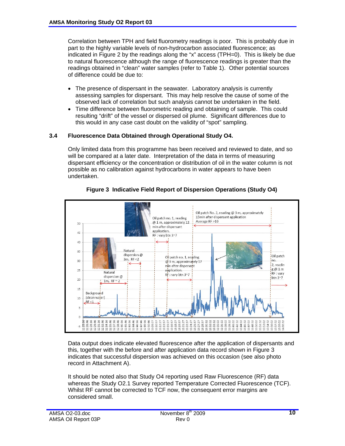Correlation between TPH and field fluorometry readings is poor. This is probably due in part to the highly variable levels of non-hydrocarbon associated fluorescence; as indicated in Figure 2 by the readings along the "x" access (TPH=0). This is likely be due to natural fluorescence although the range of fluorescence readings is greater than the readings obtained in "clean" water samples (refer to Table 1). Other potential sources of difference could be due to:

- The presence of dispersant in the seawater. Laboratory analysis is currently assessing samples for dispersant. This may help resolve the cause of some of the observed lack of correlation but such analysis cannot be undertaken in the field.
- Time difference between fluorometric reading and obtaining of sample. This could resulting "drift" of the vessel or dispersed oil plume. Significant differences due to this would in any case cast doubt on the validity of "spot" sampling.

#### **3.4 Fluorescence Data Obtained through Operational Study O4.**

 Only limited data from this programme has been received and reviewed to date, and so will be compared at a later date. Interpretation of the data in terms of measuring dispersant efficiency or the concentration or distribution of oil in the water column is not possible as no calibration against hydrocarbons in water appears to have been undertaken.



#### **Figure 3 Indicative Field Report of Dispersion Operations (Study O4)**

 Data output does indicate elevated fluorescence after the application of dispersants and this, together with the before and after application data record shown in Figure 3 indicates that successful dispersion was achieved on this occasion (see also photo record in Attachment A).

 It should be noted also that Study O4 reporting used Raw Fluorescence (RF) data whereas the Study O2.1 Survey reported Temperature Corrected Fluorescence (TCF). Whilst RF cannot be corrected to TCF now, the consequent error margins are considered small.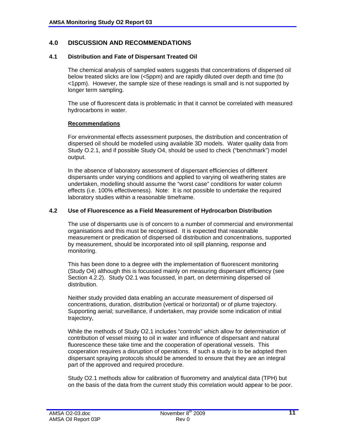#### **4.0 DISCUSSION AND RECOMMENDATIONS**

#### **4.1 Distribution and Fate of Dispersant Treated Oil**

 The chemical analysis of sampled waters suggests that concentrations of dispersed oil below treated slicks are low (<5ppm) and are rapidly diluted over depth and time (to <1ppm). However, the sample size of these readings is small and is not supported by longer term sampling.

 The use of fluorescent data is problematic in that it cannot be correlated with measured hydrocarbons in water.

#### **Recommendations**

 For environmental effects assessment purposes, the distribution and concentration of dispersed oil should be modelled using available 3D models. Water quality data from Study O.2.1, and if possible Study O4, should be used to check ("benchmark") model output.

 In the absence of laboratory assessment of dispersant efficiencies of different dispersants under varying conditions and applied to varying oil weathering states are undertaken, modelling should assume the "worst case" conditions for water column effects (i.e. 100% effectiveness). Note: It is not possible to undertake the required laboratory studies within a reasonable timeframe.

#### **4.2 Use of Fluorescence as a Field Measurement of Hydrocarbon Distribution**

 The use of dispersants use is of concern to a number of commercial and environmental organisations and this must be recognised. It is expected that reasonable measurement or predication of dispersed oil distribution and concentrations, supported by measurement, should be incorporated into oil spill planning, response and monitoring.

 This has been done to a degree with the implementation of fluorescent monitoring (Study O4) although this is focussed mainly on measuring dispersant efficiency (see Section 4.2.2). Study O2.1 was focussed, in part, on determining dispersed oil distribution.

 Neither study provided data enabling an accurate measurement of dispersed oil concentrations, duration, distribution (vertical or horizontal) or of plume trajectory. Supporting aerial; surveillance, if undertaken, may provide some indication of initial trajectory,

 While the methods of Study O2.1 includes "controls" which allow for determination of contribution of vessel mixing to oil in water and influence of dispersant and natural fluorescence these take time and the cooperation of operational vessels. This cooperation requires a disruption of operations. If such a study is to be adopted then dispersant spraying protocols should be amended to ensure that they are an integral part of the approved and required procedure.

 Study O2.1 methods allow for calibration of fluorometry and analytical data (TPH) but on the basis of the data from the current study this correlation would appear to be poor.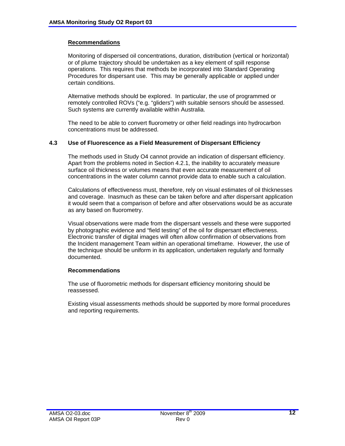#### **Recommendations**

 Monitoring of dispersed oil concentrations, duration, distribution (vertical or horizontal) or of plume trajectory should be undertaken as a key element of spill response operations. This requires that methods be incorporated into Standard Operating Procedures for dispersant use. This may be generally applicable or applied under certain conditions.

 Alternative methods should be explored. In particular, the use of programmed or remotely controlled ROVs ("e.g. "gliders") with suitable sensors should be assessed. Such systems are currently available within Australia.

 The need to be able to convert fluorometry or other field readings into hydrocarbon concentrations must be addressed.

#### **4.3 Use of Fluorescence as a Field Measurement of Dispersant Efficiency**

 The methods used in Study O4 cannot provide an indication of dispersant efficiency. Apart from the problems noted in Section 4.2.1, the inability to accurately measure surface oil thickness or volumes means that even accurate measurement of oil concentrations in the water column cannot provide data to enable such a calculation.

 Calculations of effectiveness must, therefore, rely on visual estimates of oil thicknesses and coverage. Inasmuch as these can be taken before and after dispersant application it would seem that a comparison of before and after observations would be as accurate as any based on fluorometry.

 Visual observations were made from the dispersant vessels and these were supported by photographic evidence and "field testing" of the oil for dispersant effectiveness. Electronic transfer of digital images will often allow confirmation of observations from the Incident management Team within an operational timeframe. However, the use of the technique should be uniform in its application, undertaken regularly and formally documented.

#### **Recommendations**

 The use of fluorometric methods for dispersant efficiency monitoring should be reassessed.

 Existing visual assessments methods should be supported by more formal procedures and reporting requirements.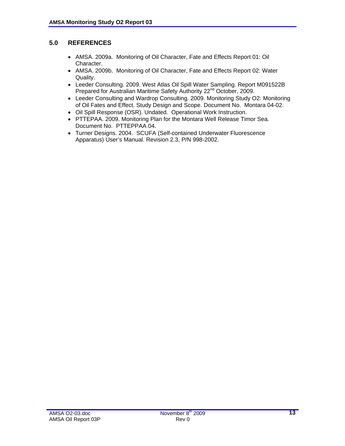#### **5.0 REFERENCES**

- AMSA. 2009a. Monitoring of Oil Character, Fate and Effects Report 01: Oil Character.
- AMSA. 2009b. Monitoring of Oil Character, Fate and Effects Report 02: Water Quality.
- Leeder Consulting. 2009. West Atlas Oil Spill Water Sampling. Report M091522B Prepared for Australian Maritime Safety Authority 22<sup>nd</sup> October, 2009.
- Leeder Consulting and Wardrop Consulting. 2009. Monitoring Study O2: Monitoring of Oil Fates and Effect. Study Design and Scope. Document No. Montara 04-02.
- Oil Spill Response (OSR). Undated. Operational Work Instruction.
- PTTEPAA. 2009. Monitoring Plan for the Montara Well Release Timor Sea. Document No. PTTEPPAA 04.
- Turner Designs. 2004. SCUFA (Self-contained Underwater Fluorescence Apparatus) User's Manual. Revision 2.3, P/N 998-2002.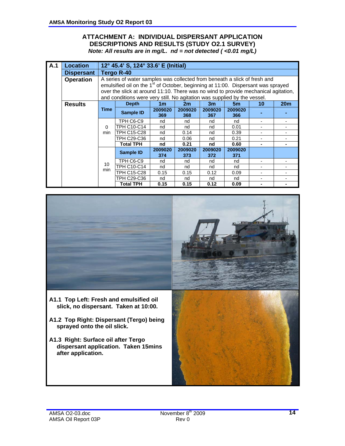#### **ATTACHMENT A: INDIVIDUAL DISPERSANT APPLICATION DESCRIPTIONS AND RESULTS (STUDY O2.1 SURVEY)**  *Note: All results are in mg/L. nd = not detected ( <0.01 mg/L)*

| A.1 | <b>Location</b>   |          | 12° 45.4' S, 124° 33.6' E (Initial)                                                          |                |                |                |                |    |                 |
|-----|-------------------|----------|----------------------------------------------------------------------------------------------|----------------|----------------|----------------|----------------|----|-----------------|
|     | <b>Dispersant</b> |          | <b>Tergo R-40</b>                                                                            |                |                |                |                |    |                 |
|     | <b>Operation</b>  |          | A series of water samples was collected from beneath a slick of fresh and                    |                |                |                |                |    |                 |
|     |                   |          | emulsified oil on the 1 <sup>st</sup> of October, beginning at 11:00. Dispersant was sprayed |                |                |                |                |    |                 |
|     |                   |          | over the slick at around 11:10. There was no wind to provide mechanical agitation,           |                |                |                |                |    |                 |
|     |                   |          | and conditions were very still. No agitation was supplied by the vessel.                     |                |                |                |                |    |                 |
|     | <b>Results</b>    |          | <b>Depth</b>                                                                                 | 1 <sub>m</sub> | 2m             | 3m             | 5m             | 10 | 20 <sub>m</sub> |
|     |                   | Time     | <b>Sample ID</b>                                                                             | 2009020<br>369 | 2009020<br>368 | 2009020<br>367 | 2009020<br>366 |    |                 |
|     |                   |          | TPH C6-C9                                                                                    | nd             | nd             | nd             | nd             |    |                 |
|     |                   | $\Omega$ | TPH C10-C14                                                                                  | nd             | nd             | nd             | 0.01           |    |                 |
|     |                   | min      | TPH C15-C28                                                                                  | nd             | 0.14           | nd             | 0.39           |    |                 |
|     |                   |          | TPH C29-C36                                                                                  | nd             | 0.06           | nd             | 0.21           |    |                 |
|     |                   |          | <b>Total TPH</b>                                                                             | nd             | 0.21           | nd             | 0.60           |    |                 |
|     |                   |          | <b>Sample ID</b>                                                                             | 2009020<br>374 | 2009020<br>373 | 2009020<br>372 | 2009020<br>371 |    |                 |
|     |                   | 10       | TPH C6-C9                                                                                    | nd             | nd             | nd             | nd             |    |                 |
|     |                   | min      | <b>TPH C10-C14</b>                                                                           | nd             | nd             | nd             | nd             |    |                 |
|     |                   |          | TPH C15-C28                                                                                  | 0.15           | 0.15           | 0.12           | 0.09           |    |                 |
|     |                   |          | TPH C29-C36                                                                                  | nd             | nd             | nd             | nd             |    |                 |
|     |                   |          | <b>Total TPH</b>                                                                             | 0.15           | 0.15           | 0.12           | 0.09           |    |                 |

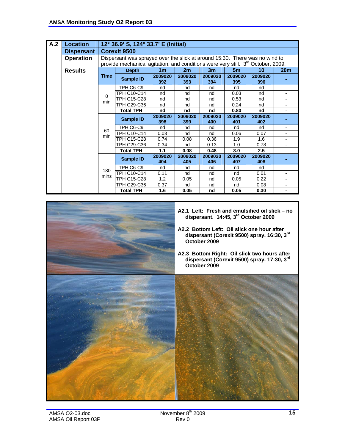| A.2 | <b>Location</b>   |             | 12° 36.9' S, 124° 33.7' E (Initial)                                                                                                                                         |                |                |                |                |                |                          |
|-----|-------------------|-------------|-----------------------------------------------------------------------------------------------------------------------------------------------------------------------------|----------------|----------------|----------------|----------------|----------------|--------------------------|
|     | <b>Dispersant</b> |             | <b>Corexit 9500</b>                                                                                                                                                         |                |                |                |                |                |                          |
|     | <b>Operation</b>  |             | Dispersant was sprayed over the slick at around 15:30. There was no wind to<br>provide mechanical agitation, and conditions were very still. 3 <sup>rd</sup> October, 2009. |                |                |                |                |                |                          |
|     | <b>Results</b>    |             | <b>Depth</b>                                                                                                                                                                | 1 <sub>m</sub> | 2m             | 3 <sub>m</sub> | 5 <sub>m</sub> | 10             | 20 <sub>m</sub>          |
|     |                   | <b>Time</b> | Sample ID                                                                                                                                                                   | 2009020<br>392 | 2009020<br>393 | 2009020<br>394 | 2009020<br>395 | 2009020<br>396 |                          |
|     |                   |             | TPH C6-C9                                                                                                                                                                   | nd             | nd             | nd             | nd             | nd             | $\blacksquare$           |
|     |                   | $\Omega$    | <b>TPH C10-C14</b>                                                                                                                                                          | nd             | nd             | nd             | 0.03           | nd             |                          |
|     |                   | min         | <b>TPH C15-C28</b>                                                                                                                                                          | nd             | nd             | nd             | 0.53           | nd             | $\overline{\phantom{0}}$ |
|     |                   |             | <b>TPH C29-C36</b>                                                                                                                                                          | nd             | nd             | nd             | 0.24           | nd             |                          |
|     |                   |             | <b>Total TPH</b>                                                                                                                                                            | nd             | nd             | nd             | 0.80           | nd             | $\overline{\phantom{0}}$ |
|     |                   |             | <b>Sample ID</b>                                                                                                                                                            | 2009020<br>398 | 2009020<br>399 | 2009020<br>400 | 2009020<br>401 | 2009020<br>402 |                          |
|     |                   |             | TPH C6-C9                                                                                                                                                                   | nd             | nd             | nd             | nd             | nd             | $\overline{\phantom{0}}$ |
|     |                   | 60<br>min   | <b>TPH C10-C14</b>                                                                                                                                                          | 0.03           | nd             | nd             | 0.06           | 0.07           | $\overline{\phantom{0}}$ |
|     |                   |             | <b>TPH C15-C28</b>                                                                                                                                                          | 0.74           | 0.08           | 0.36           | 1.9            | 1.6            |                          |
|     |                   |             | TPH C29-C36                                                                                                                                                                 | 0.34           | nd             | 0.13           | 1.0            | 0.78           |                          |
|     |                   |             | <b>Total TPH</b>                                                                                                                                                            | 1.1            | 0.08           | 0.48           | 3.0            | 2.5            |                          |
|     |                   |             | <b>Sample ID</b>                                                                                                                                                            | 2009020<br>404 | 2009020<br>405 | 2009020<br>406 | 2009020<br>407 | 2009020<br>408 |                          |
|     |                   |             | TPH C6-C9                                                                                                                                                                   | nd             | nd             | nd             | nd             | nd             |                          |
|     |                   | 180         | <b>TPH C10-C14</b>                                                                                                                                                          | 0.11           | nd             | nd             | nd             | 0.01           |                          |
|     |                   | mins        | <b>TPH C15-C28</b>                                                                                                                                                          | 1.2            | 0.05           | nd             | 0.05           | 0.22           | $\overline{\phantom{0}}$ |
|     |                   |             | TPH C29-C36                                                                                                                                                                 | 0.37           | nd             | nd             | nd             | 0.08           |                          |
|     |                   |             | <b>Total TPH</b>                                                                                                                                                            | 1.6            | 0.05           | nd             | 0.05           | 0.30           |                          |

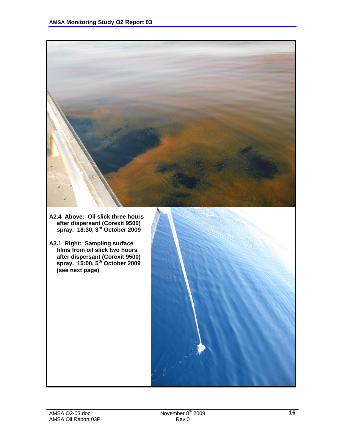

- **A2.4 Above: Oil slick three hours after dispersant (Corexit 9500) spray. 18:30, 3rd October 2009**
- **A3.1 Right: Sampling surface films from oil slick two hours after dispersant (Corexit 9500) spray. 15:00, 5th October 2009 (see next page)**

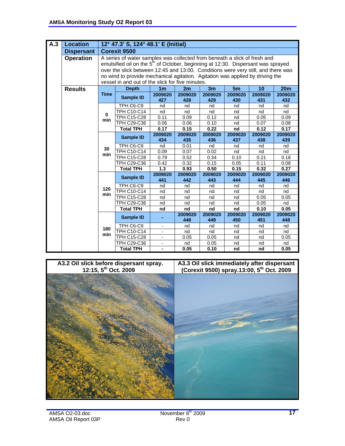| A.3 | <b>Location</b>   |             | 12° 47.3' S, 124° 48.1' E (Initial)                                                                                                                                                                                                                                                                                                                                                                 |                          |                |                |                |                 |                |
|-----|-------------------|-------------|-----------------------------------------------------------------------------------------------------------------------------------------------------------------------------------------------------------------------------------------------------------------------------------------------------------------------------------------------------------------------------------------------------|--------------------------|----------------|----------------|----------------|-----------------|----------------|
|     | <b>Dispersant</b> |             | <b>Corexit 9500</b>                                                                                                                                                                                                                                                                                                                                                                                 |                          |                |                |                |                 |                |
|     | <b>Operation</b>  |             | A series of water samples was collected from beneath a slick of fresh and<br>emulsified oil on the 5 <sup>th</sup> of October, beginning at 12:30. Dispersant was sprayed<br>over the slick between 12:45 and 13:00. Conditions were very still, and there was<br>no wind to provide mechanical agitation. Agitation was applied by driving the<br>vessel in and out of the slick for five minutes. |                          |                |                |                |                 |                |
|     | <b>Results</b>    |             | <b>Depth</b>                                                                                                                                                                                                                                                                                                                                                                                        | 1 <sub>m</sub>           | 2m             | 3m             | 5m             | $\overline{10}$ | 20m            |
|     |                   | <b>Time</b> | <b>Sample ID</b>                                                                                                                                                                                                                                                                                                                                                                                    | 2009020<br>427           | 2009020<br>428 | 2009020<br>429 | 2009020<br>430 | 2009020<br>431  | 2009020<br>432 |
|     |                   |             | TPH C6-C9                                                                                                                                                                                                                                                                                                                                                                                           | nd                       | nd             | nd             | nd             | nd              | nd             |
|     |                   | $\bf{0}$    | TPH C10-C14                                                                                                                                                                                                                                                                                                                                                                                         | nd                       | nd             | nd             | nd             | nd              | nd             |
|     |                   | min         | TPH C15-C28                                                                                                                                                                                                                                                                                                                                                                                         | 0.11                     | 0.09           | 0.12           | nd             | 0.05            | 0.09           |
|     |                   |             | <b>TPH C29-C36</b>                                                                                                                                                                                                                                                                                                                                                                                  | 0.06                     | 0.06           | 0.10           | nd             | 0.07            | 0.08           |
|     |                   |             | <b>Total TPH</b>                                                                                                                                                                                                                                                                                                                                                                                    | 0.17                     | 0.15           | 0.22           | nd             | 0.12            | 0.17           |
|     |                   |             | <b>Sample ID</b>                                                                                                                                                                                                                                                                                                                                                                                    | 2009020<br>434           | 2009020<br>435 | 2009020<br>436 | 2009020<br>437 | 2009020<br>438  | 2009020<br>439 |
|     |                   |             | TPH C6-C9                                                                                                                                                                                                                                                                                                                                                                                           | nd                       | 0.01           | nd             | nd             | nd              | nd             |
|     |                   | 30          | TPH C10-C14                                                                                                                                                                                                                                                                                                                                                                                         | 0.09                     | 0.07           | 0.02           | nd             | nd              | nd             |
|     |                   | min         | <b>TPH C15-C28</b>                                                                                                                                                                                                                                                                                                                                                                                  | 0.79                     | 0.52           | 0.34           | 0.10           | 0.21            | 0.18           |
|     |                   |             | TPH C29-C36                                                                                                                                                                                                                                                                                                                                                                                         | 0.42                     | 0.32           | 0.15           | 0.05           | 0.11            | 0.08           |
|     |                   |             | <b>Total TPH</b>                                                                                                                                                                                                                                                                                                                                                                                    | 1.3                      | 0.93           | 0.50           | 0.15           | 0.32            | 0.27           |
|     |                   |             | <b>Sample ID</b>                                                                                                                                                                                                                                                                                                                                                                                    | 2009020<br>441           | 2009020<br>442 | 2009020<br>443 | 2009020<br>444 | 2009020<br>445  | 2009020<br>446 |
|     |                   | 120         | TPH C6-C9                                                                                                                                                                                                                                                                                                                                                                                           | nd                       | nd             | nd             | nd             | nd              | nd             |
|     |                   | min         | TPH C10-C14                                                                                                                                                                                                                                                                                                                                                                                         | nd                       | nd             | nd             | nd             | nd              | nd             |
|     |                   |             | TPH C15-C28                                                                                                                                                                                                                                                                                                                                                                                         | nd                       | nd             | nd             | nd             | 0.05            | 0.05           |
|     |                   |             | TPH C29-C36                                                                                                                                                                                                                                                                                                                                                                                         | nd                       | nd             | nd             | nd             | 0.05            | nd             |
|     |                   |             | <b>Total TPH</b>                                                                                                                                                                                                                                                                                                                                                                                    | nd                       | nd             | nd             | nd             | 0.10            | 0.05           |
|     |                   |             | <b>Sample ID</b>                                                                                                                                                                                                                                                                                                                                                                                    |                          | 2009020<br>448 | 2009020<br>449 | 2009020<br>450 | 2009020<br>451  | 2009020<br>448 |
|     |                   |             | TPH C6-C9                                                                                                                                                                                                                                                                                                                                                                                           | $\overline{\phantom{a}}$ | nd             | nd             | nd             | nd              | nd             |
|     |                   | 180<br>min  | TPH C10-C14                                                                                                                                                                                                                                                                                                                                                                                         | $\overline{\phantom{a}}$ | nd             | nd             | nd             | nd              | nd             |
|     |                   |             | <b>TPH C15-C28</b>                                                                                                                                                                                                                                                                                                                                                                                  | $\overline{\phantom{a}}$ | 0.05           | 0.05           | nd             | nd              | 0.05           |
|     |                   |             | TPH C29-C36                                                                                                                                                                                                                                                                                                                                                                                         | $\overline{\phantom{a}}$ | nd             | 0.05           | nd             | nd              | nd             |
|     |                   |             | <b>Total TPH</b>                                                                                                                                                                                                                                                                                                                                                                                    | $\blacksquare$           | 0.05           | 0.10           | nd             | nd              | 0.05           |

#### **A3.2 Oil slick before dispersant spray. 12:15, 5th Oct. 2009**

#### **A3.3 Oil slick immediately after dispersant (Corexit 9500) spray.13:00, 5th Oct. 2009**



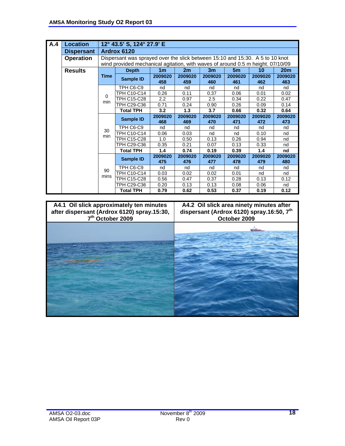| A.4 | <b>Location</b>   |                 | 12° 43.5' S, 124° 27.9' E                                                                                                                                        |                |                |                |                |                |                 |  |  |  |  |  |
|-----|-------------------|-----------------|------------------------------------------------------------------------------------------------------------------------------------------------------------------|----------------|----------------|----------------|----------------|----------------|-----------------|--|--|--|--|--|
|     | <b>Dispersant</b> |                 | Ardrox 6120                                                                                                                                                      |                |                |                |                |                |                 |  |  |  |  |  |
|     | <b>Operation</b>  |                 | Dispersant was sprayed over the slick between 15:10 and 15:30. A 5 to 10 knot<br>wind provided mechanical agitation, with waves of around 0.5 m height. 07/10/09 |                |                |                |                |                |                 |  |  |  |  |  |
|     | <b>Results</b>    |                 | <b>Depth</b>                                                                                                                                                     | 1 <sub>m</sub> | 2m             | 3m             | 5m             | 10             | 20 <sub>m</sub> |  |  |  |  |  |
|     |                   | Time            | Sample ID                                                                                                                                                        | 2009020<br>458 | 2009020<br>459 | 2009020<br>460 | 2009020<br>461 | 2009020<br>462 | 2009020<br>463  |  |  |  |  |  |
|     |                   |                 | TPH C6-C9                                                                                                                                                        | nd             | nd             | nd             | nd             | nd             | nd              |  |  |  |  |  |
|     |                   | $\Omega$<br>min | TPH C10-C14                                                                                                                                                      | 0.26           | 0.11           | 0.37           | 0.06           | 0.01           | 0.02            |  |  |  |  |  |
|     |                   |                 | TPH C15-C28                                                                                                                                                      | 2.2            | 0.97           | 2.5            | 0.34           | 0.22           | 0.47            |  |  |  |  |  |
|     |                   |                 | TPH C29-C36                                                                                                                                                      | 0.71           | 0.24           | 0.90           | 0.26           | 0.09           | 0.14            |  |  |  |  |  |
|     |                   |                 | <b>Total TPH</b>                                                                                                                                                 | 3.2            | 1.3            | 3.7            | 0.66           | 0.32           | 0.64            |  |  |  |  |  |
|     |                   | 30<br>min       | Sample ID                                                                                                                                                        | 2009020<br>468 | 2009020<br>469 | 2009020<br>470 | 2009020<br>471 | 2009020<br>472 | 2009020<br>473  |  |  |  |  |  |
|     |                   |                 | TPH C6-C9                                                                                                                                                        | nd             | nd             | nd             | nd             | nd             | nd              |  |  |  |  |  |
|     |                   |                 | <b>TPH C10-C14</b>                                                                                                                                               | 0.06           | 0.03           | nd             | nd             | 0.10           | nd              |  |  |  |  |  |
|     |                   |                 | TPH C15-C28                                                                                                                                                      | 1.0            | 0.50           | 0.13           | 0.26           | 0.94           | nd              |  |  |  |  |  |
|     |                   |                 | TPH C29-C36                                                                                                                                                      | 0.35           | 0.21           | 0.07           | 0.13           | 0.33           | nd              |  |  |  |  |  |
|     |                   |                 | <b>Total TPH</b>                                                                                                                                                 | 1.4            | 0.74           | 0.19           | 0.39           | 1.4            | nd              |  |  |  |  |  |
|     |                   |                 | Sample ID                                                                                                                                                        | 2009020<br>475 | 2009020<br>476 | 2009020<br>477 | 2009020<br>478 | 2009020<br>479 | 2009020<br>480  |  |  |  |  |  |
|     |                   |                 | TPH C6-C9                                                                                                                                                        | nd             | nd             | nd             | nd             | nd             | nd              |  |  |  |  |  |
|     |                   | 90<br>mins      | TPH C10-C14                                                                                                                                                      | 0.03           | 0.02           | 0.02           | 0.01           | nd             | nd              |  |  |  |  |  |
|     |                   |                 | TPH C15-C28                                                                                                                                                      | 0.56           | 0.47           | 0.37           | 0.28           | 0.13           | 0.12            |  |  |  |  |  |
|     |                   |                 | TPH C29-C36                                                                                                                                                      | 0.20           | 0.13           | 0.13           | 0.08           | 0.06           | nd              |  |  |  |  |  |
|     |                   |                 | <b>Total TPH</b>                                                                                                                                                 | 0.79           | 0.62           | 0.53           | 0.37           | 0.19           | 0.12            |  |  |  |  |  |

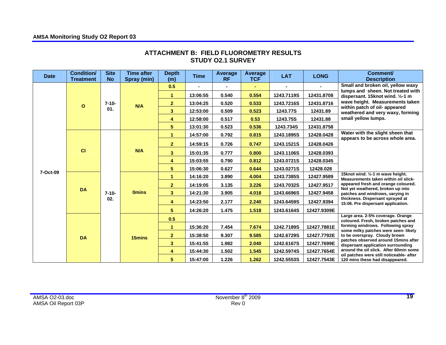| <b>Date</b> | <b>Condition/</b><br><b>Treatment</b> | <b>Site</b><br><b>No</b> | <b>Time after</b><br>Spray (min) | <b>Depth</b><br>(m)     | <b>Time</b> | Average<br><b>RF</b> | <b>Average</b><br><b>TCF</b> | <b>LAT</b> | <b>LONG</b> | Comment/<br><b>Description</b>                                                                                                                |
|-------------|---------------------------------------|--------------------------|----------------------------------|-------------------------|-------------|----------------------|------------------------------|------------|-------------|-----------------------------------------------------------------------------------------------------------------------------------------------|
|             | $\Omega$                              | $7 - 10 -$               | N/A                              | 0.5                     |             |                      |                              |            |             | Small and broken oil, yellow waxy<br>lumps and sheen. Not treated with<br>dispersant. 15knot wind. 1/2-1 m<br>wave height. Measurements taken |
|             |                                       |                          |                                  | 1                       | 13:06:55    | 0.540                | 0.554                        | 1243.7119S | 12431.8708  |                                                                                                                                               |
|             |                                       |                          |                                  | $\mathbf{2}$            | 13:04:25    | 0.520                | 0.533                        | 1243.7216S | 12431.8716  |                                                                                                                                               |
|             |                                       | 01.                      |                                  | 3 <sup>2</sup>          | 12:53:00    | 0.509                | 0.523                        | 1243.77S   | 12431.89    | within patch of oil- appeared<br>weathered and very waxy, forming                                                                             |
|             |                                       |                          |                                  | 4                       | 12:58:00    | 0.517                | 0.53                         | 1243.75S   | 12431.88    | small yellow lumps.                                                                                                                           |
|             |                                       |                          |                                  | $5\phantom{.0}$         | 13:01:30    | 0.523                | 0.536                        | 1243.734S  | 12431.8758  |                                                                                                                                               |
|             |                                       |                          |                                  | $\blacktriangleleft$    | 14:57:00    | 0.792                | 0.815                        | 1243.1895S | 12428.0428  | Water with the slight sheen that<br>appears to be across whole area.                                                                          |
|             | CI                                    | $7 - 10 -$               | N/A                              | $\overline{2}$          | 14:59:15    | 0.726                | 0.747                        | 1243.1521S | 12428.0426  |                                                                                                                                               |
|             |                                       |                          |                                  | 3 <sup>2</sup>          | 15:01:35    | 0.777                | 0.800                        | 1243.1106S | 12428.0393  |                                                                                                                                               |
|             |                                       |                          |                                  | $\overline{\mathbf{4}}$ | 15:03:55    | 0.790                | 0.812                        | 1243.0721S | 12428.0345  |                                                                                                                                               |
| 7-Oct-09    |                                       |                          |                                  | $5\phantom{.0}$         | 15:06:30    | 0.627                | 0.644                        | 1243.0271S | 12428.028   |                                                                                                                                               |
|             |                                       |                          | <b>Omins</b>                     | $\mathbf{1}$            | 14:16:20    | 3.890                | 4.004                        | 1243.7385S | 12427.9589  | 15knot wind. 1/2-1 m wave height.<br>Measurements taken within oil slick-                                                                     |
|             |                                       |                          |                                  | $\overline{2}$          | 14:19:05    | 3.135                | 3.226                        | 1243.7032S | 12427.9517  | appeared fresh and orange coloured.                                                                                                           |
|             | <b>DA</b>                             |                          |                                  | 3 <sup>2</sup>          | 14:21:30    | 3.905                | 4.018                        | 1243.6696S | 12427.9458  | Not yet weathered, broken up into<br>patches and windrows, varying in                                                                         |
|             |                                       | 02.                      |                                  | 4                       | 14:23:50    | 2.177                | 2.240                        | 1243.6459S | 12427.9394  | thickness. Dispersant sprayed at<br>15:06. Pre dispersant application.                                                                        |
|             |                                       |                          |                                  | 5                       | 14:26:20    | 1.475                | 1.518                        | 1243.6164S | 12427.9309E |                                                                                                                                               |
|             |                                       |                          |                                  | 0.5                     |             |                      |                              |            |             | Large area. 2-5% coverage. Orange<br>coloured. Fresh, broken patches and                                                                      |
|             |                                       |                          |                                  | $\blacktriangleleft$    | 15:36:20    | 7.454                | 7.674                        | 1242.7189S | 12427.7881E | forming windrows. Following spray<br>some milky patches were seen- likely                                                                     |
|             | <b>DA</b>                             |                          | 15mins                           | $\overline{2}$          | 15:38:50    | 9.307                | 9.585                        | 1242.6729S | 12427.7792E | to be overspray. Cloudy brown                                                                                                                 |
|             |                                       |                          |                                  | 3 <sup>2</sup>          | 15:41:55    | 1.982                | 2.040                        | 1242.6167S | 12427.7699E | patches observed around 15mins after<br>dispersant application surrounding                                                                    |
|             |                                       |                          |                                  | 4                       | 15:44:30    | 1.502                | 1.545                        | 1242.5974S | 12427.7654E | around the oil slick. After 60min some                                                                                                        |
|             |                                       |                          |                                  | 5 <sup>5</sup>          | 15:47:00    | 1.226                | 1.262                        | 1242.5553S | 12427.7543E | oil patches were still noticeable- after<br>120 mins these had disappeared.                                                                   |

#### **ATTACHMENT B: FIELD FLUOROMETRY RESULTS STUDY O2.1 SURVEY**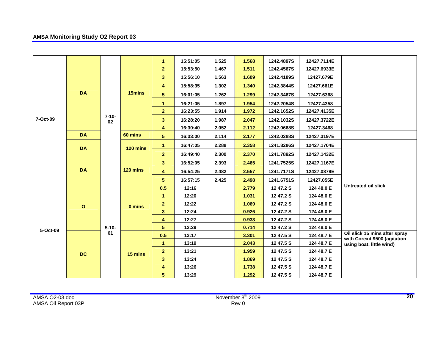|          |              |                  |          | 1                       | 15:51:05                                 | 1.525       | 1.568 | 1242.4897S | 12427.7114E |                                                               |
|----------|--------------|------------------|----------|-------------------------|------------------------------------------|-------------|-------|------------|-------------|---------------------------------------------------------------|
|          |              |                  |          | 2 <sup>1</sup>          | 15:53:50                                 | 1.467       | 1.511 | 1242.4567S | 12427.6933E |                                                               |
|          |              |                  |          | 3 <sup>2</sup>          | 15:56:10                                 | 1.563       | 1.609 | 1242.4189S | 12427.679E  |                                                               |
|          |              |                  |          | $\overline{\mathbf{4}}$ | 15:58:35                                 | 1.302       | 1.340 | 1242.3844S | 12427.661E  |                                                               |
|          | <b>DA</b>    |                  | 15mins   | 5                       | 16:01:05                                 | 1.262       | 1.299 | 1242.3467S | 12427.6368  |                                                               |
|          |              |                  |          | $\blacktriangleleft$    | 16:21:05                                 | 1.897       | 1.954 | 1242.2054S | 12427.4358  |                                                               |
|          |              |                  |          | $\mathbf{2}$            | 16:23:55                                 | 1.914       | 1.972 | 1242.1652S | 12427.4135E |                                                               |
| 7-Oct-09 |              | $7 - 10 -$<br>02 |          | 3 <sup>2</sup>          | 16:28:20                                 | 1.987       | 2.047 | 1242.1032S | 12427.3722E |                                                               |
|          |              |                  |          | 4                       | 16:30:40                                 | 2.052       | 2.112 | 1242.0668S | 12427.3468  |                                                               |
|          | <b>DA</b>    |                  | 60 mins  | $5\phantom{.0}$         | 2.177<br>16:33:00<br>2.114<br>1242.0288S | 12427.3197E |       |            |             |                                                               |
|          | <b>DA</b>    |                  | 120 mins | $\mathbf{1}$            | 16:47:05                                 | 2.288       | 2.358 | 1241.8286S | 12427.1704E |                                                               |
|          |              |                  |          | $\overline{2}$          | 16:49:40                                 | 2.300       | 2.370 | 1241.7892S | 12427.1432E |                                                               |
|          | <b>DA</b>    |                  | 120 mins | 3 <sup>2</sup>          | 16:52:05                                 | 2.393       | 2.465 | 1241.7525S | 12427.1167E |                                                               |
|          |              |                  |          | $\overline{\mathbf{4}}$ | 16:54:25                                 | 2.482       | 2.557 | 1241.7171S | 12427.0879E |                                                               |
|          |              |                  |          | 5                       | 16:57:15                                 | 2.425       | 2.498 | 1241.6751S | 12427.055E  |                                                               |
|          |              |                  | 0 mins   | 0.5                     | 12:16                                    |             | 2.779 | 12 47.2 S  | 124 48.0 E  | <b>Untreated oil slick</b>                                    |
|          |              |                  |          | 1                       | 12:20                                    |             | 1.031 | 12 47.2 S  | 124 48.0 E  |                                                               |
|          | $\mathbf{o}$ |                  |          | $\mathbf{2}$            | 12:22                                    |             | 1.069 | 12 47.2 S  | 124 48.0 E  |                                                               |
|          |              |                  |          | 3 <sup>2</sup>          | 12:24                                    |             | 0.926 | 12 47.2 S  | 124 48.0 E  |                                                               |
|          |              |                  |          | 4                       | 12:27                                    |             | 0.933 | 12 47.2 S  | 124 48.0 E  |                                                               |
| 5-Oct-09 |              | $5 - 10 -$       |          | 5                       | 12:29                                    |             | 0.714 | 12 47.2 S  | 124 48.0 E  |                                                               |
|          |              | 01               |          | 0.5                     | 13:17                                    |             | 3.301 | 12 47.5 S  | 124 48.7 E  | Oil slick 15 mins after spray<br>with Corexit 9500 (agitation |
|          | <b>DC</b>    |                  |          | $\blacktriangleleft$    | 13:19                                    |             | 2.043 | 12 47.5 S  | 124 48.7 E  | using boat, little wind)                                      |
|          |              |                  | 15 mins  | $\overline{2}$          | 13:21                                    |             | 1.959 | 12 47.5 S  | 124 48.7 E  |                                                               |
|          |              |                  |          | 3 <sup>2</sup>          | 13:24                                    |             | 1.869 | 12 47.5 S  | 124 48.7 E  |                                                               |
|          |              |                  |          | 4                       | 13:26                                    |             | 1.738 | 12 47.5 S  | 124 48.7 E  |                                                               |
|          |              |                  |          | 5                       | 13:29                                    |             | 1.292 | 12 47.5 S  | 124 48.7 E  |                                                               |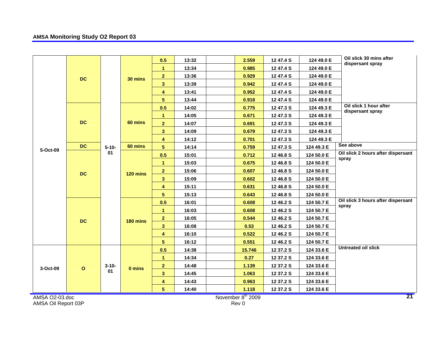|                     |              |            |          | 0.5                     | 13:32 | 2.559             | 12 47.4 S | 124 49.0 E | Oil slick 30 mins after            |
|---------------------|--------------|------------|----------|-------------------------|-------|-------------------|-----------|------------|------------------------------------|
|                     |              |            |          | $\mathbf{1}$            | 13:34 | 0.985             | 12 47.4 S | 124 49.0 E | dispersant spray                   |
|                     |              |            |          | $\overline{2}$          | 13:36 | 0.929             | 12 47.4 S | 124 49.0 E |                                    |
|                     | <b>DC</b>    |            | 30 mins  | 3 <sup>1</sup>          | 13:39 | 0.942             | 12 47.4 S | 124 49.0 E |                                    |
|                     |              |            |          | 4                       | 13:41 | 0.952             | 12 47.4 S | 124 49.0 E |                                    |
|                     |              |            |          | 5 <sub>5</sub>          | 13:44 | 0.918             | 12 47.4 S | 124 49.0 E |                                    |
|                     |              |            |          | 0.5                     | 14:02 | 0.775             | 12 47.3 S | 124 49.3 E | Oil slick 1 hour after             |
|                     |              |            | 60 mins  | $\mathbf{1}$            | 14:05 | 0.671             | 12 47.3 S | 124 49.3 E | dispersant spray                   |
|                     | <b>DC</b>    |            |          | 2 <sup>7</sup>          | 14:07 | 0.691             | 12 47.3 S | 124 49.3 E |                                    |
|                     |              |            |          | 3 <sup>2</sup>          | 14:09 | 0.679             | 12 47.3 S | 124 49.3 E |                                    |
|                     |              |            |          | 4                       | 14:12 | 0.701             | 12 47.3 S | 124 49.3 E |                                    |
|                     | <b>DC</b>    | $5 - 10 -$ | 60 mins  | 5 <sub>5</sub>          | 14:14 | 0.759             | 12 47.3 S | 124 49.3 E | See above                          |
| 5-Oct-09            |              | 01         |          | 0.5                     | 15:01 | 0.712             | 12 46.8 S | 124 50.0 E | Oil slick 2 hours after dispersant |
|                     |              |            |          | $\mathbf{1}$            | 15:03 | 0.675             | 12 46.8 S | 124 50.0 E | spray                              |
|                     |              |            |          | $\overline{2}$          | 15:06 | 0.607             | 12 46.8 S | 124 50.0 E |                                    |
|                     | <b>DC</b>    |            | 120 mins | 3 <sup>1</sup>          | 15:09 | 0.602             | 12 46.8 S | 124 50.0 E |                                    |
|                     |              |            |          | 4                       | 15:11 | 0.631             | 12 46.8 S | 124 50.0 E |                                    |
|                     |              |            |          | 5 <sub>5</sub>          | 15:13 | 0.643             | 12 46.8 S | 124 50.0 E |                                    |
|                     |              |            | 180 mins | 0.5                     | 16:01 | 0.608             | 12 46.2 S | 124 50.7 E | Oil slick 3 hours after dispersant |
|                     |              |            |          | $\mathbf{1}$            | 16:03 | 0.608             | 12 46.2 S | 124 50.7 E | spray                              |
|                     |              |            |          | $\overline{2}$          | 16:05 | 0.544             | 12 46.2 S | 124 50.7 E |                                    |
|                     | <b>DC</b>    |            |          | $\mathbf{3}$            | 16:08 | 0.53              | 12 46.2 S | 124 50.7 E |                                    |
|                     |              |            |          | $\overline{\mathbf{4}}$ | 16:10 | 0.522             | 12 46.2 S | 124 50.7 E |                                    |
|                     |              |            |          | 5 <sub>5</sub>          | 16:12 | 0.551             | 12 46.2 S | 124 50.7 E |                                    |
|                     |              |            |          | 0.5                     | 14:38 | 15.746            | 12 37.2 S | 124 33.6 E | <b>Untreated oil slick</b>         |
|                     |              |            |          | $\mathbf{1}$            | 14:34 | 0.27              | 12 37.2 S | 124 33.6 E |                                    |
|                     |              | $3 - 10 -$ |          | $\mathbf{2}$            | 14:48 | 1.139             | 12 37.2 S | 124 33.6 E |                                    |
| 3-Oct-09            | $\mathbf{o}$ | 01         | 0 mins   | 3 <sup>1</sup>          | 14:45 | 1.063             | 12 37.2 S | 124 33.6 E |                                    |
|                     |              |            |          | 4                       | 14:43 | 0.963             | 12 37.2 S | 124 33.6 E |                                    |
|                     |              |            |          | 5 <sub>5</sub>          | 14:40 | 1.118             | 12 37.2 S | 124 33.6 E |                                    |
| AMSA O2-03.doc      |              |            |          |                         |       | November 8th 2009 |           |            | 21                                 |
| AMSA Oil Report 03P |              |            |          |                         |       | Rev 0             |           |            |                                    |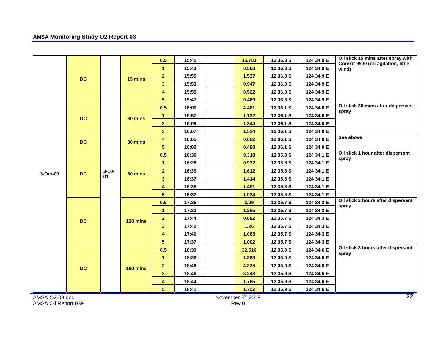|                     |           |            |          | 0.5                     | 15:45 | 15.783            | 12 36.3 S | 124 34.9 E | Oil slick 15 mins after spray with          |
|---------------------|-----------|------------|----------|-------------------------|-------|-------------------|-----------|------------|---------------------------------------------|
|                     |           |            |          | $\mathbf{1}$            | 15:43 | 0.568             | 12 36.3 S | 124 34.9 E | Corexit 9500 (no agitation, little<br>wind) |
|                     |           |            |          | $\overline{2}$          | 15:55 | 1.537             | 12 36.3 S | 124 34.9 E |                                             |
|                     | <b>DC</b> |            | 15 mins  | 3 <sup>1</sup>          | 15:53 | 0.947             | 12 36.3 S | 124 34.9 E |                                             |
|                     |           |            |          | $\overline{\mathbf{4}}$ | 15:50 | 0.522             | 12 36.3 S | 124 34.9 E |                                             |
|                     |           |            |          | 5 <sub>5</sub>          | 15:47 | 0.469             | 12 36.3 S | 124 34.9 E |                                             |
|                     |           |            |          | 0.5                     | 16:00 | 4.461             | 12 36.1 S | 124 34.0 E | Oil slick 30 mins after dispersant          |
|                     |           |            | 30 mins  | $\mathbf{1}$            | 15:57 | 1.732             | 12 36.1 S | 124 34.0 E | spray                                       |
|                     | <b>DC</b> |            |          | $\overline{2}$          | 16:09 | 1.344             | 12 36.1 S | 124 34.0 E |                                             |
|                     |           |            |          | $\overline{\mathbf{3}}$ | 16:07 | 1.524             | 12 36.1 S | 124 34.0 E |                                             |
|                     |           |            |          | 4                       | 16:05 | 0.682             | 12 36.1 S | 124 34.0 E | See above                                   |
|                     | <b>DC</b> |            | 30 mins  | 5                       | 16:02 | 0.498             | 12 36.1 S | 124 34.0 E |                                             |
|                     |           |            | 60 mins  | 0.5                     | 16:30 | 8.318             | 12 35.8 S | 124 34.1 E | Oil slick 1 hour after dispersant           |
|                     |           |            |          | $\mathbf{1}$            | 16:28 | 0.932             | 12 35.8 S | 124 34.1 E | spray                                       |
| 3-Oct-09            | <b>DC</b> | $3 - 10 -$ |          | $\overline{2}$          | 16:39 | 1.612             | 12 35.8 S | 124 34.1 E |                                             |
|                     |           | 01         |          | $\overline{\mathbf{3}}$ | 16:37 | 1.414             | 12 35.8 S | 124 34.1 E |                                             |
|                     |           |            |          | 4                       | 16:35 | 1.481             | 12 35.8 S | 124 34.1 E |                                             |
|                     |           |            |          | 5 <sup>5</sup>          | 16:32 | 1.934             | 12 35.8 S | 124 34.1 E |                                             |
|                     |           |            | 120 mins | 0.5                     | 17:35 | 3.09              | 12 35.7 S | 124 34.3 E | Oil slick 2 hours after dispersant          |
|                     |           |            |          | $\mathbf{1}$            | 17:32 | 1.285             | 12 35.7 S | 124 34.3 E | spray                                       |
|                     | <b>DC</b> |            |          | $\overline{2}$          | 17:44 | 0.882             | 12 35.7 S | 124 34.3 E |                                             |
|                     |           |            |          | $\overline{\mathbf{3}}$ | 17:42 | 1.26              | 12 35.7 S | 124 34.3 E |                                             |
|                     |           |            |          | 4                       | 17:40 | 1.063             | 12 35.7 S | 124 34.3 E |                                             |
|                     |           |            |          | 5                       | 17:37 | 1.002             | 12 35.7 S | 124 34.3 E |                                             |
|                     |           |            |          | 0.5                     | 18:39 | 32.516            | 12 35.9 S | 124 34.6 E | Oil slick 3 hours after dispersant          |
|                     |           |            |          | $\mathbf{1}$            | 18:36 | 1.363             | 12 35.9 S | 124 34.6 E | spray                                       |
|                     | <b>DC</b> |            |          | $\overline{\mathbf{2}}$ | 18:48 | 4.325             | 12 35.9 S | 124 34.6 E |                                             |
|                     |           |            | 180 mins | $\overline{\mathbf{3}}$ | 18:46 | 3.248             | 12 35.9 S | 124 34.6 E |                                             |
|                     |           |            |          | 4                       | 18:44 | 1.785             | 12 35.9 S | 124 34.6 E |                                             |
|                     |           |            |          | 5 <sub>1</sub>          | 18:41 | 1.752             | 12 35.9 S | 124 34.6 E |                                             |
| AMSA O2-03.doc      |           |            |          |                         |       | November 8th 2009 |           |            | 22                                          |
| AMSA Oil Report 03P |           |            |          |                         |       | Rev 0             |           |            |                                             |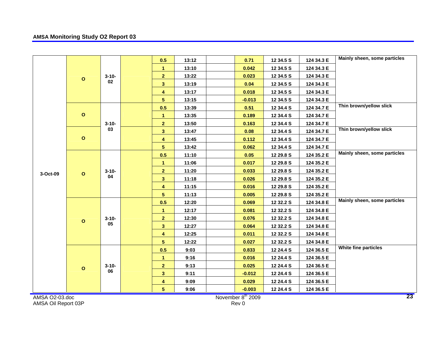|                          |              |                  |                | 0.5                     | 13:12 | 0.71      | 12 34.5 S  | 124 34.3 E | Mainly sheen, some particles |  |
|--------------------------|--------------|------------------|----------------|-------------------------|-------|-----------|------------|------------|------------------------------|--|
|                          |              |                  |                | 1                       | 13:10 | 0.042     | 12 34.5 S  | 124 34.3 E |                              |  |
|                          |              | $3 - 10 -$       |                | $\overline{2}$          | 13:22 | 0.023     | 12 34.5 S  | 124 34.3 E |                              |  |
|                          | $\mathbf{o}$ | 02               |                | $\mathbf{3}$            | 13:19 | 0.04      | 12 34.5 S  | 124 34.3 E |                              |  |
|                          |              |                  |                | 4                       | 13:17 | 0.018     | 12 34.5 S  | 124 34.3 E |                              |  |
|                          |              |                  |                | $\overline{5}$          | 13:15 | $-0.013$  | 12 34.5 S  | 124 34.3 E |                              |  |
|                          |              |                  |                | 0.5                     | 13:39 | 0.51      | 12 34.4 S  | 124 34.7 E | Thin brown/yellow slick      |  |
|                          | $\mathbf{o}$ |                  |                | 1                       | 13:35 | 0.189     | 12 34.4 S  | 124 34.7 E |                              |  |
|                          | $\mathbf{o}$ | $3 - 10 -$       |                | $\overline{\mathbf{2}}$ | 13:50 | 0.163     | 12 34.4 S  | 124 34.7 E |                              |  |
|                          |              | 03               |                | $\overline{\mathbf{3}}$ | 13:47 | 0.08      | 12 34.4 S  | 124 34.7 E | Thin brown/yellow slick      |  |
|                          |              |                  |                | $\overline{\mathbf{4}}$ | 13:45 | 0.112     | 12 34.4 S  | 124 34.7 E |                              |  |
| 3-Oct-09<br>$\mathbf{o}$ |              |                  | $\overline{5}$ | 13:42                   | 0.062 | 12 34.4 S | 124 34.7 E |            |                              |  |
|                          |              |                  |                | 0.5                     | 11:10 | 0.05      | 12 29.8 S  | 124 35.2 E | Mainly sheen, some particles |  |
|                          |              |                  |                | $\mathbf{1}$            | 11:06 | 0.017     | 12 29.8 S  | 124 35.2 E |                              |  |
|                          |              | $3 - 10 -$       |                | $\overline{2}$          | 11:20 | 0.033     | 12 29.8 S  | 124 35.2 E |                              |  |
|                          |              | 04               |                | $\mathbf{3}$            | 11:18 | 0.026     | 12 29.8 S  | 124 35.2 E |                              |  |
|                          |              |                  |                |                         | 4     | 11:15     | 0.016      | 12 29.8 S  | 124 35.2 E                   |  |
|                          |              |                  |                | $\overline{5}$          | 11:13 | 0.005     |            | 124 35.2 E |                              |  |
|                          |              |                  |                | 0.5                     | 12:20 | 0.069     | 12 29.8 S  | 124 34.8 E | Mainly sheen, some particles |  |
|                          |              |                  |                |                         |       | 0.081     | 12 32.2 S  |            |                              |  |
|                          |              |                  |                | $\mathbf{1}$            | 12:17 |           | 12 32.2 S  | 124 34.8 E |                              |  |
|                          | $\circ$      | $3 - 10 -$<br>05 |                | $\overline{\mathbf{2}}$ | 12:30 | 0.076     | 12 32.2 S  | 124 34.8 E |                              |  |
|                          |              |                  |                | $\overline{\mathbf{3}}$ | 12:27 | 0.064     | 12 32.2 S  | 124 34.8 E |                              |  |
|                          |              |                  |                | $\overline{\mathbf{4}}$ | 12:25 | 0.011     | 12 32.2 S  | 124 34.8 E |                              |  |
|                          |              |                  |                | $5\phantom{.0}$         | 12:22 | 0.027     | 12 32.2 S  | 124 34.8 E | White fine particles         |  |
|                          | $\mathbf{o}$ |                  |                | 0.5                     | 9:03  | 0.833     | 12 24.4 S  | 124 36.5 E |                              |  |
|                          |              |                  |                | 1                       | 9:16  | 0.016     | 12 24.4 S  | 124 36.5 E |                              |  |
|                          |              | $3 - 10 -$<br>06 |                | $\overline{2}$          | 9:13  | 0.025     | 12 24.4 S  | 124 36.5 E |                              |  |
|                          |              |                  |                | $\mathbf{3}$            | 9:11  | $-0.012$  | 12 24.4 S  | 124 36.5 E |                              |  |
|                          |              |                  |                | 4                       | 9:09  | 0.029     | 12 24.4 S  | 124 36.5 E |                              |  |
|                          |              |                  |                | $5\phantom{.0}$         | 9:06  | $-0.003$  | 12 24.4 S  | 124 36.5 E |                              |  |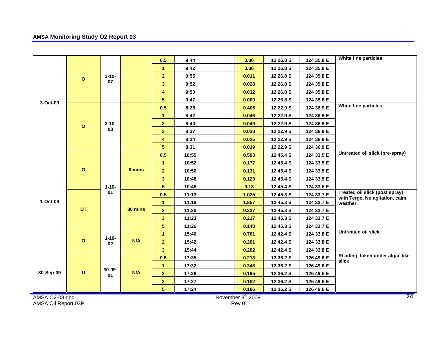|                     |              |                  |         | 0.5                     | 9:44  | 0.06                          | 12 26.8 S | 124 35.8 E | White fine particles                                             |
|---------------------|--------------|------------------|---------|-------------------------|-------|-------------------------------|-----------|------------|------------------------------------------------------------------|
|                     |              |                  |         | $\mathbf{1}$            | 9:42  | 0.06                          | 12 26.8 S | 124 35.8 E |                                                                  |
|                     |              | $3 - 10 -$       |         | $\overline{2}$          | 9:55  | 0.011                         | 12 26.8 S | 124 35.8 E |                                                                  |
|                     | $\mathbf{o}$ | 07               |         | 3 <sup>1</sup>          | 9:52  | 0.028                         | 12 26.8 S | 124 35.8 E |                                                                  |
|                     |              |                  |         |                         |       |                               |           |            |                                                                  |
|                     |              |                  |         | 4                       | 9:50  | 0.032                         | 12 26.8 S | 124 35.8 E |                                                                  |
| 3-Oct-09            |              |                  |         | 5                       | 9:47  | 0.009                         | 12 26.8 S | 124 35.8 E | White fine particles                                             |
|                     |              |                  |         | 0.5                     | 8:28  | 0.405                         | 12 22.9 S | 124 36.9 E |                                                                  |
|                     |              | $3 - 10 -$<br>08 |         | $\mathbf{1}$            | 8:42  | 0.046                         | 12 22.9 S | 124 36.9 E |                                                                  |
|                     | $\mathbf{o}$ |                  |         | $\overline{2}$          | 8:40  | 0.049                         | 12 22.9 S | 124 36.9 E |                                                                  |
|                     |              |                  |         | 3 <sup>1</sup>          | 8:37  | 0.028                         | 12 22.9 S | 124 36.9 E |                                                                  |
|                     |              |                  |         | 4                       | 8:34  | 0.025                         | 12 22.9 S | 124 36.9 E |                                                                  |
|                     |              |                  |         | 5 <sup>5</sup>          | 8:31  | 0.019                         | 12 22.9 S | 124 36.9 E | Untreated oil slick (pre-spray)                                  |
|                     |              |                  |         | 0.5                     | 10:55 | 0.593                         | 12 45.4 S | 124 33.5 E |                                                                  |
|                     |              |                  |         | 1                       | 10:52 | 0.177                         | 12 45.4 S | 124 33.5 E |                                                                  |
|                     | $\mathbf{o}$ |                  | 0 mins  | $\overline{2}$          | 10:50 | 0.131                         | 12 45.4 S | 124 33.5 E |                                                                  |
|                     |              |                  |         | 3 <sup>1</sup>          | 10:48 | 0.123                         | 12 45.4 S | 124 33.5 E |                                                                  |
|                     |              | $1 - 10 -$       |         | 5                       | 10:45 | 0.13                          | 12 45.4 S | 124 33.5 E |                                                                  |
|                     |              | 01               |         | 0.5                     | 11:13 | 1.025                         | 12 45.3 S | 124 33.7 E | Treated oil slick (post spray)<br>with Tergo. No agitation, calm |
| 1-Oct-09            |              |                  | 30 mins | 1                       | 11:18 | 1.857                         | 12 45.3 S | 124 33.7 E | weather.                                                         |
|                     | DT           |                  |         | $\overline{2}$          | 11:20 | 0.237                         | 12 45.3 S | 124 33.7 E |                                                                  |
|                     |              |                  |         | $\overline{\mathbf{3}}$ | 11:23 | 0.217                         | 12 45.3 S | 124 33.7 E |                                                                  |
|                     |              |                  |         | 5 <sup>5</sup>          | 11:26 | 0.148                         | 12 45.3 S | 124 33.7 E |                                                                  |
|                     |              |                  |         | 1                       | 15:40 | 0.761                         | 12 42.4 S | 124 33.8 E | <b>Untreated oil slick</b>                                       |
|                     | $\mathbf{o}$ | $1 - 10 -$<br>02 | N/A     | $\overline{2}$          | 15:42 | 0.201                         | 12 42.4 S | 124 33.8 E |                                                                  |
|                     |              |                  |         | 3 <sup>1</sup>          | 15:44 | 0.202                         | 12 42.4 S | 124 33.8 E |                                                                  |
|                     |              |                  |         | 0.5                     | 17:35 | 0.213                         | 12 36.2 S | 126 49.6 E | Reading taken under algae like                                   |
|                     |              |                  |         | $\mathbf{1}$            | 17:32 | 0.348                         | 12 36.2 S | 126 49.6 E | slick                                                            |
| 30-Sep-09           | $\mathsf{U}$ | 30-09-<br>01     | N/A     | $\overline{2}$          | 17:29 | 0.195                         | 12 36.2 S | 126 49.6 E |                                                                  |
|                     |              |                  |         | 3 <sup>1</sup>          | 17:27 | 0.182                         | 12 36.2 S | 126 49.6 E |                                                                  |
|                     |              |                  |         | 5 <sup>1</sup>          | 17:24 | 0.186                         | 12 36.2 S | 126 49.6 E |                                                                  |
| AMSA O2-03.doc      |              |                  |         |                         |       | November 8 <sup>th</sup> 2009 |           |            | 24                                                               |
| AMSA Oil Report 03P |              |                  |         |                         |       | Rev 0                         |           |            |                                                                  |